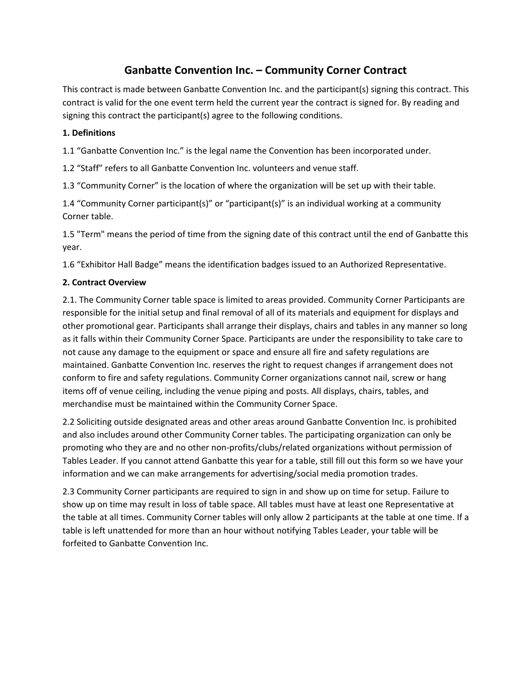## **Ganbatte Convention Inc. – Community Corner Contract**

This contract is made between Ganbatte Convention Inc. and the participant(s) signing this contract. This contract is valid for the one event term held the current year the contract is signed for. By reading and signing this contract the participant(s) agree to the following conditions.

## **1. Definitions**

1.1 "Ganbatte Convention Inc." is the legal name the Convention has been incorporated under.

1.2 "Staff" refers to all Ganbatte Convention Inc. volunteers and venue staff.

1.3 "Community Corner" is the location of where the organization will be set up with their table.

1.4 "Community Corner participant(s)" or "participant(s)" is an individual working at a community Corner table.

1.5 "Term" means the period of time from the signing date of this contract until the end of Ganbatte this year.

1.6 "Exhibitor Hall Badge" means the identification badges issued to an Authorized Representative.

## **2. Contract Overview**

2.1. The Community Corner table space is limited to areas provided. Community Corner Participants are responsible for the initial setup and final removal of all of its materials and equipment for displays and other promotional gear. Participants shall arrange their displays, chairs and tables in any manner so long as it falls within their Community Corner Space. Participants are under the responsibility to take care to not cause any damage to the equipment or space and ensure all fire and safety regulations are maintained. Ganbatte Convention Inc. reserves the right to request changes if arrangement does not conform to fire and safety regulations. Community Corner organizations cannot nail, screw or hang items off of venue ceiling, including the venue piping and posts. All displays, chairs, tables, and merchandise must be maintained within the Community Corner Space.

2.2 Soliciting outside designated areas and other areas around Ganbatte Convention Inc. is prohibited and also includes around other Community Corner tables. The participating organization can only be promoting who they are and no other non-profits/clubs/related organizations without permission of Tables Leader. If you cannot attend Ganbatte this year for a table, still fill out this form so we have your information and we can make arrangements for advertising/social media promotion trades.

2.3 Community Corner participants are required to sign in and show up on time for setup. Failure to show up on time may result in loss of table space. All tables must have at least one Representative at the table at all times. Community Corner tables will only allow 2 participants at the table at one time. If a table is left unattended for more than an hour without notifying Tables Leader, your table will be forfeited to Ganbatte Convention Inc.